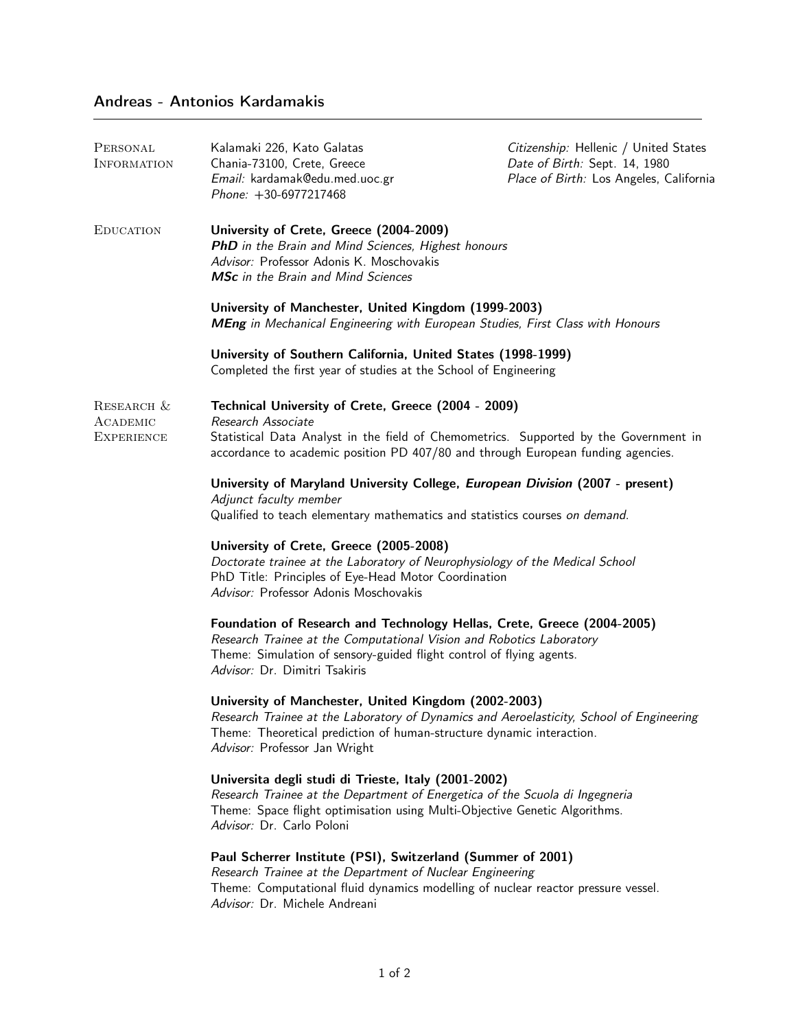## Andreas - Antonios Kardamakis

| PERSONAL<br><b>INFORMATION</b>              | Kalamaki 226, Kato Galatas<br>Chania-73100, Crete, Greece<br>Email: kardamak@edu.med.uoc.gr<br>Phone: +30-6977217468                                                                                                                                                       | Citizenship: Hellenic / United States<br>Date of Birth: Sept. 14, 1980<br>Place of Birth: Los Angeles, California |
|---------------------------------------------|----------------------------------------------------------------------------------------------------------------------------------------------------------------------------------------------------------------------------------------------------------------------------|-------------------------------------------------------------------------------------------------------------------|
| <b>EDUCATION</b>                            | University of Crete, Greece (2004-2009)<br>PhD in the Brain and Mind Sciences, Highest honours<br>Advisor: Professor Adonis K. Moschovakis<br>MSc in the Brain and Mind Sciences                                                                                           |                                                                                                                   |
|                                             | University of Manchester, United Kingdom (1999-2003)<br>MEng in Mechanical Engineering with European Studies, First Class with Honours<br>University of Southern California, United States (1998-1999)<br>Completed the first year of studies at the School of Engineering |                                                                                                                   |
|                                             |                                                                                                                                                                                                                                                                            |                                                                                                                   |
| RESEARCH &<br>ACADEMIC<br><b>EXPERIENCE</b> | Technical University of Crete, Greece (2004 - 2009)<br>Research Associate<br>Statistical Data Analyst in the field of Chemometrics. Supported by the Government in<br>accordance to academic position PD 407/80 and through European funding agencies.                     |                                                                                                                   |
|                                             | University of Maryland University College, European Division (2007 - present)<br>Adjunct faculty member<br>Qualified to teach elementary mathematics and statistics courses on demand.                                                                                     |                                                                                                                   |
|                                             | University of Crete, Greece (2005-2008)<br>Doctorate trainee at the Laboratory of Neurophysiology of the Medical School<br>PhD Title: Principles of Eye-Head Motor Coordination<br>Advisor: Professor Adonis Moschovakis                                                   |                                                                                                                   |
|                                             | Foundation of Research and Technology Hellas, Crete, Greece (2004-2005)<br>Research Trainee at the Computational Vision and Robotics Laboratory<br>Theme: Simulation of sensory-guided flight control of flying agents.<br>Advisor: Dr. Dimitri Tsakiris                   |                                                                                                                   |
|                                             | University of Manchester, United Kingdom (2002-2003)<br>Research Trainee at the Laboratory of Dynamics and Aeroelasticity, School of Engineering<br>Theme: Theoretical prediction of human-structure dynamic interaction.<br>Advisor: Professor Jan Wright                 |                                                                                                                   |
|                                             | Universita degli studi di Trieste, Italy (2001-2002)<br>Research Trainee at the Department of Energetica of the Scuola di Ingegneria<br>Theme: Space flight optimisation using Multi-Objective Genetic Algorithms.<br>Advisor: Dr. Carlo Poloni                            |                                                                                                                   |
|                                             | Paul Scherrer Institute (PSI), Switzerland (Summer of 2001)<br>Research Trainee at the Department of Nuclear Engineering<br>Theme: Computational fluid dynamics modelling of nuclear reactor pressure vessel.<br>Advisor: Dr. Michele Andreani                             |                                                                                                                   |
|                                             |                                                                                                                                                                                                                                                                            |                                                                                                                   |